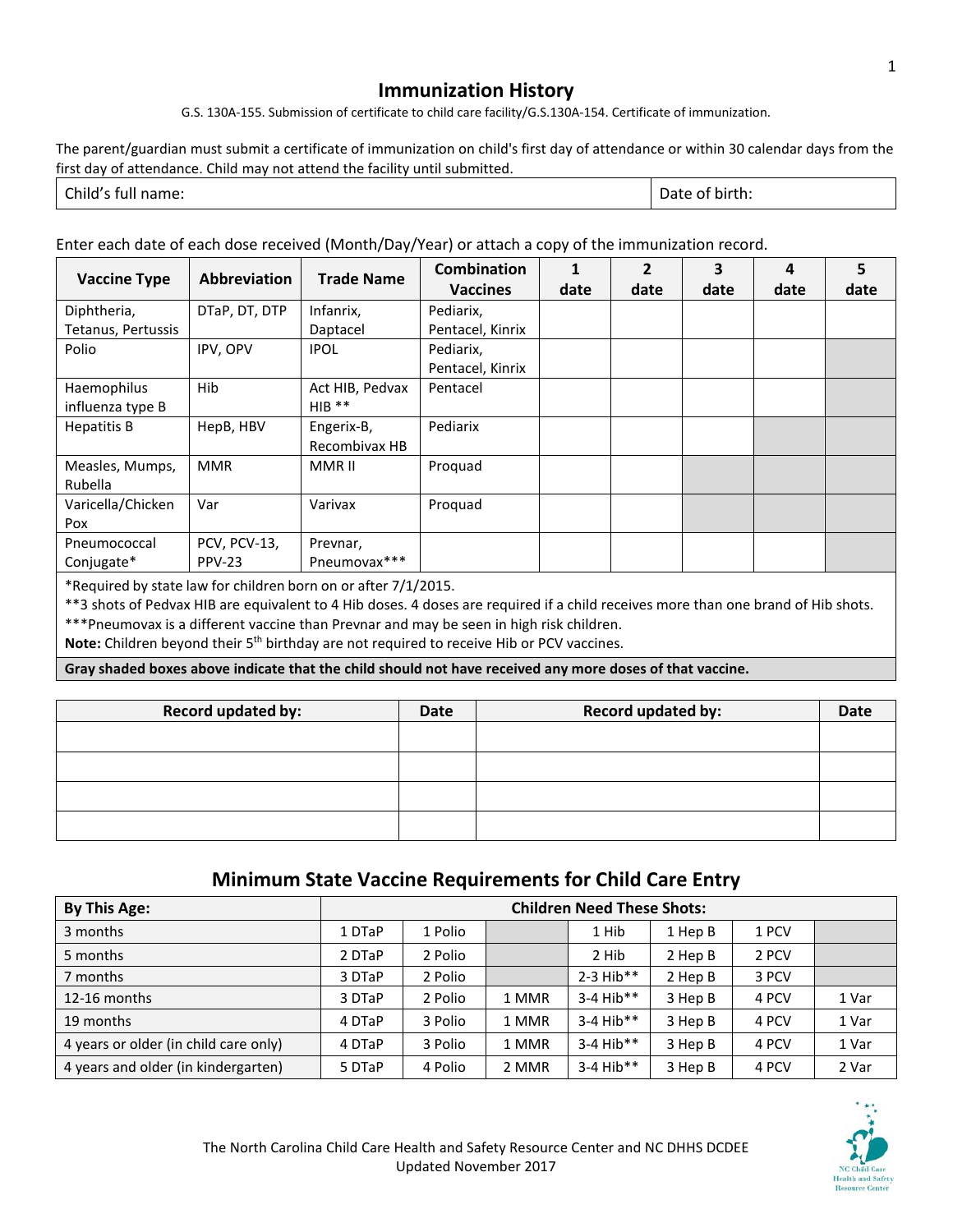## **Immunization History**

G.S. 130A-155. Submission of certificate to child care facility/G.S.130A-154. Certificate of immunization.

The parent/guardian must submit a certificate of immunization on child's first day of attendance or within 30 calendar days from the first day of attendance. Child may not attend the facility until submitted.

| $\sim$ | .       |
|--------|---------|
| nııc   | DII     |
| тин    | ,,      |
| uanie. | . LI I. |
| .      |         |

Enter each date of each dose received (Month/Day/Year) or attach a copy of the immunization record.

| <b>Vaccine Type</b> | Abbreviation  | <b>Trade Name</b> | Combination      | 1    | $\overline{2}$ | 3    | 4    | 5    |
|---------------------|---------------|-------------------|------------------|------|----------------|------|------|------|
|                     |               |                   | <b>Vaccines</b>  | date | date           | date | date | date |
| Diphtheria,         | DTaP, DT, DTP | Infanrix,         | Pediarix,        |      |                |      |      |      |
| Tetanus, Pertussis  |               | Daptacel          | Pentacel, Kinrix |      |                |      |      |      |
| Polio               | IPV, OPV      | <b>IPOL</b>       | Pediarix,        |      |                |      |      |      |
|                     |               |                   | Pentacel, Kinrix |      |                |      |      |      |
| Haemophilus         | Hib           | Act HIB, Pedvax   | Pentacel         |      |                |      |      |      |
| influenza type B    |               | $HIB$ **          |                  |      |                |      |      |      |
| <b>Hepatitis B</b>  | HepB, HBV     | Engerix-B,        | Pediarix         |      |                |      |      |      |
|                     |               | Recombivax HB     |                  |      |                |      |      |      |
| Measles, Mumps,     | <b>MMR</b>    | MMR II            | Proquad          |      |                |      |      |      |
| Rubella             |               |                   |                  |      |                |      |      |      |
| Varicella/Chicken   | Var           | Varivax           | Proquad          |      |                |      |      |      |
| Pox                 |               |                   |                  |      |                |      |      |      |
| Pneumococcal        | PCV, PCV-13,  | Prevnar,          |                  |      |                |      |      |      |
| Conjugate*          | <b>PPV-23</b> | Pneumovax***      |                  |      |                |      |      |      |
|                     |               |                   |                  |      |                |      |      |      |

\*Required by state law for children born on or after 7/1/2015.

\*\*3 shots of Pedvax HIB are equivalent to 4 Hib doses. 4 doses are required if a child receives more than one brand of Hib shots. \*\*\*Pneumovax is a different vaccine than Prevnar and may be seen in high risk children.

Note: Children beyond their 5<sup>th</sup> birthday are not required to receive Hib or PCV vaccines.

**Gray shaded boxes above indicate that the child should not have received any more doses of that vaccine.** 

| <b>Record updated by:</b> | Date | <b>Record updated by:</b> | Date |
|---------------------------|------|---------------------------|------|
|                           |      |                           |      |
|                           |      |                           |      |
|                           |      |                           |      |
|                           |      |                           |      |

## **Minimum State Vaccine Requirements for Child Care Entry**

| <b>By This Age:</b>                   | <b>Children Need These Shots:</b> |         |       |             |         |       |       |
|---------------------------------------|-----------------------------------|---------|-------|-------------|---------|-------|-------|
| 3 months                              | 1 DTaP                            | 1 Polio |       | 1 Hib       | 1 Hep B | 1 PCV |       |
| 5 months                              | 2 DTaP                            | 2 Polio |       | 2 Hib       | 2 Hep B | 2 PCV |       |
| 7 months                              | 3 DTaP                            | 2 Polio |       | $2-3$ Hib** | 2 Hep B | 3 PCV |       |
| 12-16 months                          | 3 DTaP                            | 2 Polio | 1 MMR | $3-4$ Hib** | 3 Hep B | 4 PCV | 1 Var |
| 19 months                             | 4 DTaP                            | 3 Polio | 1 MMR | $3-4$ Hib** | 3 Hep B | 4 PCV | 1 Var |
| 4 years or older (in child care only) | 4 DTaP                            | 3 Polio | 1 MMR | $3-4$ Hib** | 3 Hep B | 4 PCV | 1 Var |
| 4 years and older (in kindergarten)   | 5 DTaP                            | 4 Polio | 2 MMR | $3-4$ Hib** | 3 Hep B | 4 PCV | 2 Var |